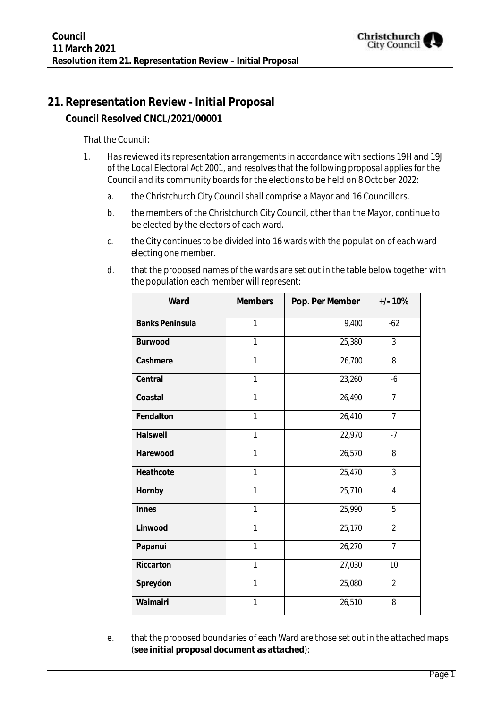

# **21. Representation Review - Initial Proposal**

**Council Resolved CNCL/2021/00001**

That the Council:

- 1. Has reviewed its representation arrangements in accordance with sections 19H and 19J of the Local Electoral Act 2001, and resolves that the following proposal applies for the Council and its community boards for the elections to be held on 8 October 2022:
	- a. the Christchurch City Council shall comprise a Mayor and 16 Councillors.
	- b. the members of the Christchurch City Council, other than the Mayor, continue to be elected by the electors of each ward.
	- c. the City continues to be divided into 16 wards with the population of each ward electing one member.

| Ward                   | Members      | Pop. Per Member | $+/- 10%$      |
|------------------------|--------------|-----------------|----------------|
| <b>Banks Peninsula</b> | 1            | 9,400           | $-62$          |
| Burwood                | $\mathbf{1}$ | 25,380          | 3              |
| Cashmere               | 1            | 26,700          | 8              |
| Central                | $\mathbf{1}$ | 23,260          | $-6$           |
| Coastal                | 1            | 26,490          | $\overline{7}$ |
| Fendalton              | $\mathbf{1}$ | 26,410          | $\overline{7}$ |
| Halswell               | $\mathbf{1}$ | 22,970          | $-7$           |
| Harewood               | $\mathbf{1}$ | 26,570          | 8              |
| Heathcote              | $\mathbf{1}$ | 25,470          | $\mathfrak{Z}$ |
| Hornby                 | 1            | 25,710          | 4              |
| Innes                  | $\mathbf{1}$ | 25,990          | 5              |
| Linwood                | $\mathbf{1}$ | 25,170          | $\overline{2}$ |
| Papanui                | 1            | 26,270          | $\overline{7}$ |
| Riccarton              | 1            | 27,030          | 10             |
| Spreydon               | 1            | 25,080          | $\overline{2}$ |
| Waimairi               | $\mathbf{1}$ | 26,510          | 8              |

d. that the proposed names of the wards are set out in the table below together with the population each member will represent:

e. that the proposed boundaries of each Ward are those set out in the attached maps (**see initial proposal document as attached**):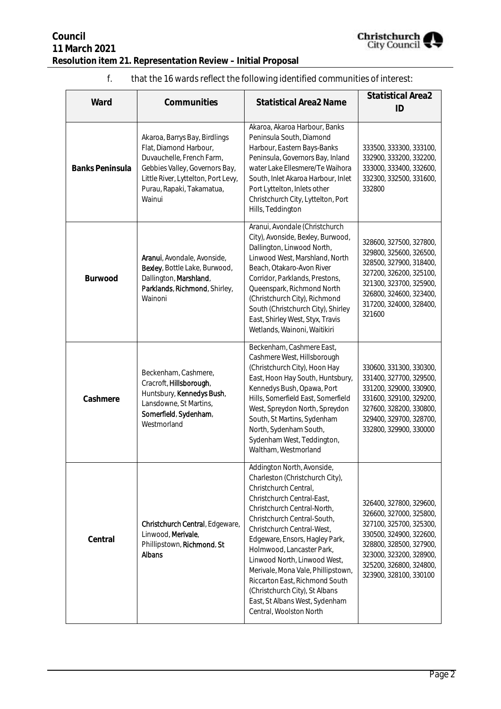

#### f. that the 16 wards reflect the following identified communities of interest:

| Ward                   | Communities                                                                                                                                                                                          | <b>Statistical Area2 Name</b>                                                                                                                                                                                                                                                                                                                                                                                                                                                          | <b>Statistical Area2</b><br>ID                                                                                                                                                                                      |
|------------------------|------------------------------------------------------------------------------------------------------------------------------------------------------------------------------------------------------|----------------------------------------------------------------------------------------------------------------------------------------------------------------------------------------------------------------------------------------------------------------------------------------------------------------------------------------------------------------------------------------------------------------------------------------------------------------------------------------|---------------------------------------------------------------------------------------------------------------------------------------------------------------------------------------------------------------------|
| <b>Banks Peninsula</b> | Akaroa, Barrys Bay, Birdlings<br>Flat, Diamond Harbour,<br>Duvauchelle, French Farm,<br>Gebbies Valley, Governors Bay,<br>Little River, Lyttelton, Port Levy,<br>Purau, Rapaki, Takamatua,<br>Wainui | Akaroa, Akaroa Harbour, Banks<br>Peninsula South, Diamond<br>Harbour, Eastern Bays-Banks<br>Peninsula, Governors Bay, Inland<br>water Lake Ellesmere/Te Waihora<br>South, Inlet Akaroa Harbour, Inlet<br>Port Lyttelton, Inlets other<br>Christchurch City, Lyttelton, Port<br>Hills, Teddington                                                                                                                                                                                       | 333500, 333300, 333100,<br>332900, 333200, 332200,<br>333000, 333400, 332600,<br>332300, 332500, 331600,<br>332800                                                                                                  |
| Burwood                | Aranui, Avondale, Avonside,<br>Bexley, Bottle Lake, Burwood,<br>Dallington, Marshland,<br>Parklands, Richmond, Shirley,<br>Wainoni                                                                   | Aranui, Avondale (Christchurch<br>City), Avonside, Bexley, Burwood,<br>Dallington, Linwood North,<br>Linwood West, Marshland, North<br>Beach, Otakaro-Avon River<br>Corridor, Parklands, Prestons,<br>Queenspark, Richmond North<br>(Christchurch City), Richmond<br>South (Christchurch City), Shirley<br>East, Shirley West, Styx, Travis<br>Wetlands, Wainoni, Waitikiri                                                                                                            | 328600, 327500, 327800,<br>329800, 325600, 326500,<br>328500, 327900, 318400,<br>327200, 326200, 325100,<br>321300, 323700, 325900,<br>326800, 324600, 323400,<br>317200, 324000, 328400,<br>321600                 |
| Cashmere               | Beckenham, Cashmere,<br>Cracroft, Hillsborough,<br>Huntsbury, Kennedys Bush,<br>Lansdowne, St Martins,<br>Somerfield, Sydenham,<br>Westmorland                                                       | Beckenham, Cashmere East,<br>Cashmere West, Hillsborough<br>(Christchurch City), Hoon Hay<br>East, Hoon Hay South, Huntsbury,<br>Kennedys Bush, Opawa, Port<br>Hills, Somerfield East, Somerfield<br>West, Spreydon North, Spreydon<br>South, St Martins, Sydenham<br>North, Sydenham South,<br>Sydenham West, Teddington,<br>Waltham, Westmorland                                                                                                                                     | 330600, 331300, 330300,<br>331400, 327700, 329500,<br>331200, 329000, 330900,<br>331600, 329100, 329200,<br>327600, 328200, 330800,<br>329400, 329700, 328700,<br>332800, 329900, 330000                            |
| Central                | Christchurch Central, Edgeware,<br>Linwood, Merivale,<br>Phillipstown, Richmond, St<br><b>Albans</b>                                                                                                 | Addington North, Avonside,<br>Charleston (Christchurch City),<br>Christchurch Central,<br>Christchurch Central-East,<br>Christchurch Central-North,<br>Christchurch Central-South,<br>Christchurch Central-West,<br>Edgeware, Ensors, Hagley Park,<br>Holmwood, Lancaster Park,<br>Linwood North, Linwood West,<br>Merivale, Mona Vale, Phillipstown,<br>Riccarton East, Richmond South<br>(Christchurch City), St Albans<br>East, St Albans West, Sydenham<br>Central, Woolston North | 326400, 327800, 329600,<br>326600, 327000, 325800,<br>327100, 325700, 325300,<br>330500, 324900, 322600,<br>328800, 328500, 327900,<br>323000, 323200, 328900,<br>325200, 326800, 324800,<br>323900, 328100, 330100 |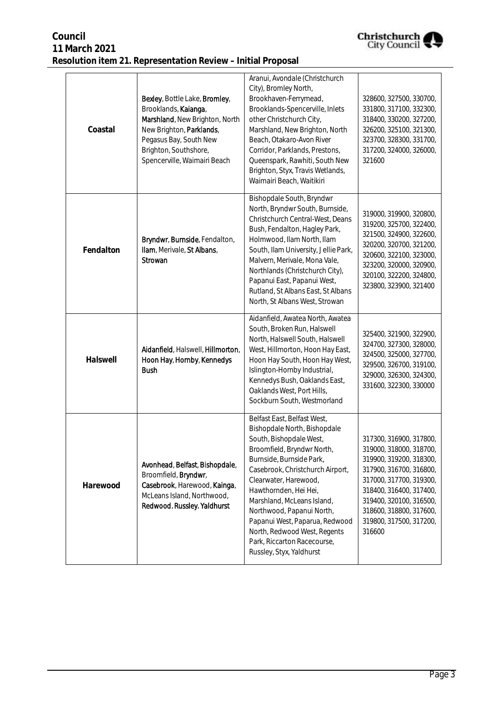| Christchurch        |
|---------------------|
| <b>City Council</b> |

| Coastal   | Bexley, Bottle Lake, Bromley,<br>Brooklands, Kalanga,<br>Marshland, New Brighton, North<br>New Brighton, Parklands,<br>Pegasus Bay, South New<br>Brighton, Southshore,<br>Spencerville, Waimairi Beach | Aranui, Avondale (Christchurch<br>City), Bromley North,<br>Brookhaven-Ferrymead,<br>Brooklands-Spencerville, Inlets<br>other Christchurch City,<br>Marshland, New Brighton, North<br>Beach, Otakaro-Avon River<br>Corridor, Parklands, Prestons,<br>Queenspark, Rawhiti, South New<br>Brighton, Styx, Travis Wetlands,<br>Waimairi Beach, Waitikiri                                                                            | 328600, 327500, 330700,<br>331800, 317100, 332300,<br>318400, 330200, 327200,<br>326200, 325100, 321300,<br>323700, 328300, 331700,<br>317200, 324000, 326000,<br>321600                                                                                  |
|-----------|--------------------------------------------------------------------------------------------------------------------------------------------------------------------------------------------------------|--------------------------------------------------------------------------------------------------------------------------------------------------------------------------------------------------------------------------------------------------------------------------------------------------------------------------------------------------------------------------------------------------------------------------------|-----------------------------------------------------------------------------------------------------------------------------------------------------------------------------------------------------------------------------------------------------------|
| Fendalton | Bryndwr, Burnside, Fendalton,<br>Ilam, Merivale, St Albans,<br>Strowan                                                                                                                                 | Bishopdale South, Bryndwr<br>North, Bryndwr South, Burnside,<br>Christchurch Central-West, Deans<br>Bush, Fendalton, Hagley Park,<br>Holmwood, Ilam North, Ilam<br>South, Ilam University, Jellie Park,<br>Malvern, Merivale, Mona Vale,<br>Northlands (Christchurch City),<br>Papanui East, Papanui West,<br>Rutland, St Albans East, St Albans<br>North, St Albans West, Strowan                                             | 319000, 319900, 320800,<br>319200, 325700, 322400,<br>321500, 324900, 322600,<br>320200, 320700, 321200,<br>320600, 322100, 323000,<br>323200, 320000, 320900,<br>320100, 322200, 324800,<br>323800, 323900, 321400                                       |
| Halswell  | Aidanfield, Halswell, Hillmorton,<br>Hoon Hay, Hornby, Kennedys<br><b>Bush</b>                                                                                                                         | Aidanfield, Awatea North, Awatea<br>South, Broken Run, Halswell<br>North, Halswell South, Halswell<br>West, Hillmorton, Hoon Hay East,<br>Hoon Hay South, Hoon Hay West,<br>Islington-Hornby Industrial,<br>Kennedys Bush, Oaklands East,<br>Oaklands West, Port Hills,<br>Sockburn South, Westmorland                                                                                                                         | 325400, 321900, 322900,<br>324700, 327300, 328000,<br>324500, 325000, 327700,<br>329500, 326700, 319100,<br>329000, 326300, 324300,<br>331600, 322300, 330000                                                                                             |
| Harewood  | Avonhead, Belfast, Bishopdale,<br>Broomfield, Bryndwr,<br>Casebrook, Harewood, Kainga,<br>McLeans Island, Northwood,<br>Redwood, Russley, Yaldhurst                                                    | Belfast East, Belfast West,<br>Bishopdale North, Bishopdale<br>South, Bishopdale West,<br>Broomfield, Bryndwr North,<br>Burnside, Burnside Park,<br>Casebrook, Christchurch Airport,<br>Clearwater, Harewood,<br>Hawthornden, Hei Hei,<br>Marshland, McLeans Island,<br>Northwood, Papanui North,<br>Papanui West, Paparua, Redwood<br>North, Redwood West, Regents<br>Park, Riccarton Racecourse,<br>Russley, Styx, Yaldhurst | 317300, 316900, 317800,<br>319000, 318000, 318700,<br>319900, 319200, 318300,<br>317900, 316700, 316800,<br>317000, 317700, 319300,<br>318400, 316400, 317400,<br>319400, 320100, 316500,<br>318600, 318800, 317600,<br>319800, 317500, 317200,<br>316600 |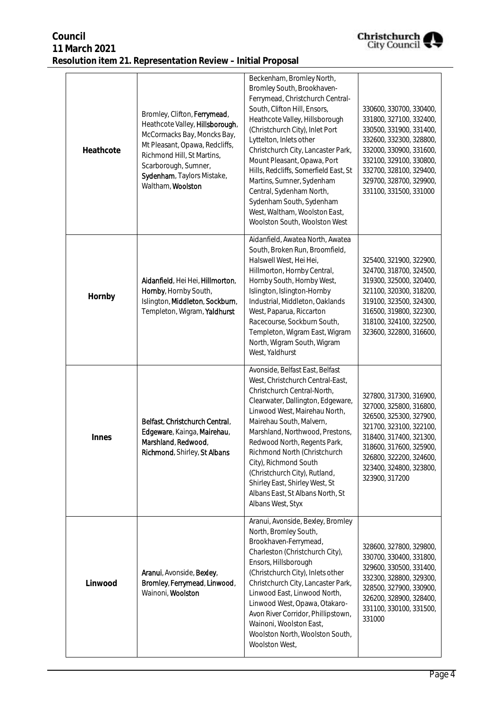

| Heathcote | Bromley, Clifton, Ferrymead,<br>Heathcote Valley, Hillsborough,<br>McCormacks Bay, Moncks Bay,<br>Mt Pleasant, Opawa, Redcliffs,<br>Richmond Hill, St Martins,<br>Scarborough, Sumner,<br>Sydenham, Taylors Mistake,<br>Waltham, Woolston | Beckenham, Bromley North,<br>Bromley South, Brookhaven-<br>Ferrymead, Christchurch Central-<br>South, Clifton Hill, Ensors,<br>Heathcote Valley, Hillsborough<br>(Christchurch City), Inlet Port<br>Lyttelton, Inlets other<br>Christchurch City, Lancaster Park,<br>Mount Pleasant, Opawa, Port<br>Hills, Redcliffs, Somerfield East, St<br>Martins, Sumner, Sydenham<br>Central, Sydenham North,<br>Sydenham South, Sydenham<br>West, Waltham, Woolston East,<br>Woolston South, Woolston West | 330600, 330700, 330400,<br>331800, 327100, 332400,<br>330500, 331900, 331400,<br>332600, 332300, 328800,<br>332000, 330900, 331600,<br>332100, 329100, 330800,<br>332700, 328100, 329400,<br>329700, 328700, 329900,<br>331100, 331500, 331000 |
|-----------|-------------------------------------------------------------------------------------------------------------------------------------------------------------------------------------------------------------------------------------------|--------------------------------------------------------------------------------------------------------------------------------------------------------------------------------------------------------------------------------------------------------------------------------------------------------------------------------------------------------------------------------------------------------------------------------------------------------------------------------------------------|------------------------------------------------------------------------------------------------------------------------------------------------------------------------------------------------------------------------------------------------|
| Hornby    | Aidanfield, Hei Hei, Hillmorton,<br>Hornby, Hornby South,<br>Islington, Middleton, Sockburn,<br>Templeton, Wigram, Yaldhurst                                                                                                              | Aidanfield, Awatea North, Awatea<br>South, Broken Run, Broomfield,<br>Halswell West, Hei Hei,<br>Hillmorton, Hornby Central,<br>Hornby South, Hornby West,<br>Islington, Islington-Hornby<br>Industrial, Middleton, Oaklands<br>West, Paparua, Riccarton<br>Racecourse, Sockburn South,<br>Templeton, Wigram East, Wigram<br>North, Wigram South, Wigram<br>West, Yaldhurst                                                                                                                      | 325400, 321900, 322900,<br>324700, 318700, 324500,<br>319300, 325000, 320400,<br>321100, 320300, 318200,<br>319100, 323500, 324300,<br>316500, 319800, 322300,<br>318100, 324100, 322500,<br>323600, 322800, 316600,                           |
| Innes     | Belfast, Christchurch Central,<br>Edgeware, Kainga, Mairehau,<br>Marshland, Redwood,<br>Richmond, Shirley, St Albans                                                                                                                      | Avonside, Belfast East, Belfast<br>West, Christchurch Central-East,<br>Christchurch Central-North,<br>Clearwater, Dallington, Edgeware,<br>Linwood West, Mairehau North,<br>Mairehau South, Malvern,<br>Marshland, Northwood, Prestons,<br>Redwood North, Regents Park,<br>Richmond North (Christchurch<br>City), Richmond South<br>(Christchurch City), Rutland,<br>Shirley East, Shirley West, St<br>Albans East, St Albans North, St<br>Albans West, Styx                                     | 327800, 317300, 316900,<br>327000, 325800, 316800,<br>326500, 325300, 327900,<br>321700, 323100, 322100,<br>318400, 317400, 321300,<br>318600, 317600, 325900,<br>326800, 322200, 324600,<br>323400, 324800, 323800,<br>323900, 317200         |
| Linwood   | Aranui, Avonside, Bexley,<br>Bromley, Ferrymead, Linwood,<br>Wainoni, Woolston                                                                                                                                                            | Aranui, Avonside, Bexley, Bromley<br>North, Bromley South,<br>Brookhaven-Ferrymead,<br>Charleston (Christchurch City),<br>Ensors, Hillsborough<br>(Christchurch City), Inlets other<br>Christchurch City, Lancaster Park,<br>Linwood East, Linwood North,<br>Linwood West, Opawa, Otakaro-<br>Avon River Corridor, Phillipstown,<br>Wainoni, Woolston East,<br>Woolston North, Woolston South,<br>Woolston West,                                                                                 | 328600, 327800, 329800,<br>330700, 330400, 331800,<br>329600, 330500, 331400,<br>332300, 328800, 329300,<br>328500, 327900, 330900,<br>326200, 328900, 328400,<br>331100, 330100, 331500,<br>331000                                            |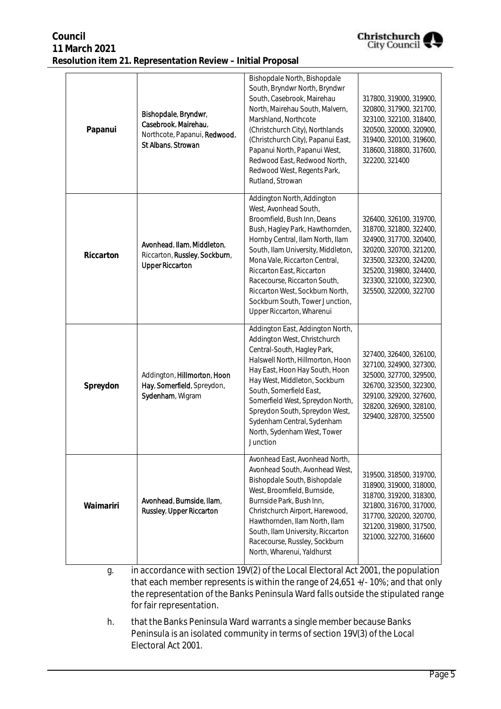| Council                                                      |
|--------------------------------------------------------------|
| 11 March 2021                                                |
| Resolution item 21. Representation Review - Initial Proposal |



| Papanui   | Bishopdale, Bryndwr,<br>Casebrook, Mairehau,<br>Northcote, Papanui, Redwood,<br>St Albans, Strowan | Bishopdale North, Bishopdale<br>South, Bryndwr North, Bryndwr<br>South, Casebrook, Mairehau<br>North, Mairehau South, Malvern,<br>Marshland, Northcote<br>(Christchurch City), Northlands<br>(Christchurch City), Papanui East,<br>Papanui North, Papanui West,<br>Redwood East, Redwood North,<br>Redwood West, Regents Park,<br>Rutland, Strowan                                               | 317800, 319000, 319900,<br>320800, 317900, 321700,<br>323100, 322100, 318400,<br>320500, 320000, 320900,<br>319400, 320100, 319600,<br>318600, 318800, 317600,<br>322200, 321400                                    |
|-----------|----------------------------------------------------------------------------------------------------|--------------------------------------------------------------------------------------------------------------------------------------------------------------------------------------------------------------------------------------------------------------------------------------------------------------------------------------------------------------------------------------------------|---------------------------------------------------------------------------------------------------------------------------------------------------------------------------------------------------------------------|
| Riccarton | Avonhead, Ilam, Middleton,<br>Riccarton, Russley, Sockburn,<br><b>Upper Riccarton</b>              | Addington North, Addington<br>West, Avonhead South,<br>Broomfield, Bush Inn, Deans<br>Bush, Hagley Park, Hawthornden,<br>Hornby Central, Ilam North, Ilam<br>South, Ilam University, Middleton,<br>Mona Vale, Riccarton Central,<br>Riccarton East, Riccarton<br>Racecourse, Riccarton South,<br>Riccarton West, Sockburn North,<br>Sockburn South, Tower Junction,<br>Upper Riccarton, Wharenui | 326400, 326100, 319700,<br>318700, 321800, 322400,<br>324900, 317700, 320400,<br>320200, 320700, 321200,<br>323500, 323200, 324200,<br>325200, 319800, 324400,<br>323300, 321000, 322300,<br>325500, 322000, 322700 |
| Spreydon  | Addington, Hillmorton, Hoon<br>Hay, Somerfield, Spreydon,<br>Sydenham, Wigram                      | Addington East, Addington North,<br>Addington West, Christchurch<br>Central-South, Hagley Park,<br>Halswell North, Hillmorton, Hoon<br>Hay East, Hoon Hay South, Hoon<br>Hay West, Middleton, Sockburn<br>South, Somerfield East,<br>Somerfield West, Spreydon North,<br>Spreydon South, Spreydon West,<br>Sydenham Central, Sydenham<br>North, Sydenham West, Tower<br>Junction                 | 327400, 326400, 326100,<br>327100, 324900, 327300,<br>325000, 327700, 329500,<br>326700, 323500, 322300,<br>329100, 329200, 327600,<br>328200, 326900, 328100,<br>329400, 328700, 325500                            |
| Waimariri | Avonhead, Burnside, Ilam,<br>Russley, Upper Riccarton                                              | Avonhead East, Avonhead North,<br>Avonhead South, Avonhead West,<br>Bishopdale South, Bishopdale<br>West, Broomfield, Burnside,<br>Burnside Park, Bush Inn,<br>Christchurch Airport, Harewood,<br>Hawthornden, Ilam North, Ilam<br>South, Ilam University, Riccarton<br>Racecourse, Russley, Sockburn<br>North, Wharenui, Yaldhurst                                                              | 319500, 318500, 319700,<br>318900, 319000, 318000,<br>318700, 319200, 318300,<br>321800, 316700, 317000,<br>317700, 320200, 320700,<br>321200, 319800, 317500,<br>321000, 322700, 316600                            |

- g. in accordance with section 19V(2) of the Local Electoral Act 2001, the population that each member represents is within the range of 24,651 +/- 10%; and that only the representation of the Banks Peninsula Ward falls outside the stipulated range for fair representation.
- h. that the Banks Peninsula Ward warrants a single member because Banks Peninsula is an isolated community in terms of section 19V(3) of the Local Electoral Act 2001.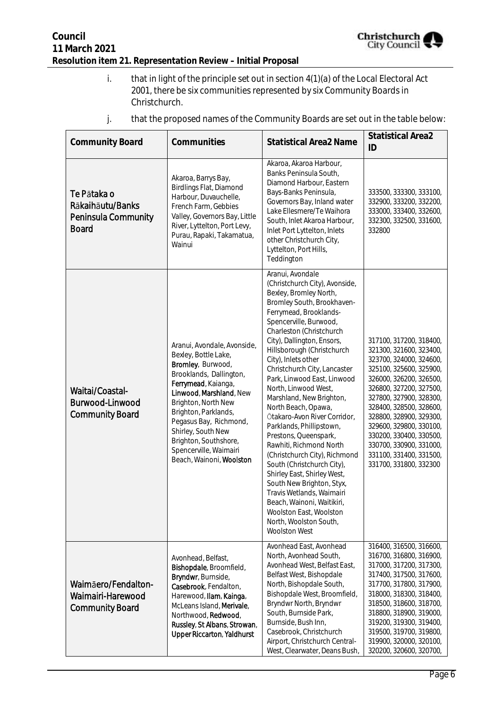

i. that in light of the principle set out in section 4(1)(a) of the Local Electoral Act 2001, there be six communities represented by six Community Boards in Christchurch.

| <b>Community Board</b>                                                 | Communities                                                                                                                                                                                                                                                                                                                         | <b>Statistical Area2 Name</b>                                                                                                                                                                                                                                                                                                                                                                                                                                                                                                                                                                                                                                                                                                                                                                              | <b>Statistical Area2</b><br>ID                                                                                                                                                                                                                                                                                                                                                        |
|------------------------------------------------------------------------|-------------------------------------------------------------------------------------------------------------------------------------------------------------------------------------------------------------------------------------------------------------------------------------------------------------------------------------|------------------------------------------------------------------------------------------------------------------------------------------------------------------------------------------------------------------------------------------------------------------------------------------------------------------------------------------------------------------------------------------------------------------------------------------------------------------------------------------------------------------------------------------------------------------------------------------------------------------------------------------------------------------------------------------------------------------------------------------------------------------------------------------------------------|---------------------------------------------------------------------------------------------------------------------------------------------------------------------------------------------------------------------------------------------------------------------------------------------------------------------------------------------------------------------------------------|
| Te Pātaka o<br>Rākaihāutu/Banks<br>Peninsula Community<br><b>Board</b> | Akaroa, Barrys Bay,<br>Birdlings Flat, Diamond<br>Harbour, Duvauchelle,<br>French Farm, Gebbies<br>Valley, Governors Bay, Little<br>River, Lyttelton, Port Levy,<br>Purau, Rapaki, Takamatua,<br>Wainui                                                                                                                             | Akaroa, Akaroa Harbour,<br>Banks Peninsula South,<br>Diamond Harbour, Eastern<br>Bays-Banks Peninsula,<br>Governors Bay, Inland water<br>Lake Ellesmere/Te Waihora<br>South, Inlet Akaroa Harbour,<br>Inlet Port Lyttelton, Inlets<br>other Christchurch City,<br>Lyttelton, Port Hills,<br>Teddington                                                                                                                                                                                                                                                                                                                                                                                                                                                                                                     | 333500, 333300, 333100,<br>332900, 333200, 332200,<br>333000, 333400, 332600,<br>332300, 332500, 331600,<br>332800                                                                                                                                                                                                                                                                    |
| Waitai/Coastal-<br>Burwood-Linwood<br><b>Community Board</b>           | Aranui, Avondale, Avonside,<br>Bexley, Bottle Lake,<br>Bromley, Burwood,<br>Brooklands, Dallington,<br>Ferrymead, Kaianga,<br>Linwood, Marshland, New<br>Brighton, North New<br>Brighton, Parklands,<br>Pegasus Bay, Richmond,<br>Shirley, South New<br>Brighton, Southshore,<br>Spencerville, Waimairi<br>Beach, Wainoni, Woolston | Aranui, Avondale<br>(Christchurch City), Avonside,<br>Bexley, Bromley North,<br>Bromley South, Brookhaven-<br>Ferrymead, Brooklands-<br>Spencerville, Burwood,<br>Charleston (Christchurch<br>City), Dallington, Ensors,<br>Hillsborough (Christchurch<br>City), Inlets other<br>Christchurch City, Lancaster<br>Park, Linwood East, Linwood<br>North, Linwood West,<br>Marshland, New Brighton,<br>North Beach, Opawa,<br>Ōtakaro-Avon River Corridor,<br>Parklands, Phillipstown,<br>Prestons, Queenspark,<br>Rawhiti, Richmond North<br>(Christchurch City), Richmond<br>South (Christchurch City),<br>Shirley East, Shirley West,<br>South New Brighton, Styx,<br>Travis Wetlands, Waimairi<br>Beach, Wainoni, Waitikiri,<br>Woolston East, Woolston<br>North, Woolston South,<br><b>Woolston West</b> | 317100, 317200, 318400,<br>321300, 321600, 323400,<br>323700, 324000, 324600,<br>325100, 325600, 325900,<br>326000, 326200, 326500,<br>326800, 327200, 327500,<br>327800, 327900, 328300,<br>328400, 328500, 328600,<br>328800, 328900, 329300,<br>329600, 329800, 330100,<br>330200, 330400, 330500,<br>330700, 330900, 331000,<br>331100, 331400, 331500,<br>331700, 331800, 332300 |
| Waimāero/Fendalton-<br>Waimairi-Harewood<br><b>Community Board</b>     | Avonhead, Belfast,<br>Bishopdale, Broomfield,<br>Bryndwr, Burnside,<br>Casebrook, Fendalton,<br>Harewood, Ilam, Kainga,<br>McLeans Island, Merivale,<br>Northwood, Redwood,<br>Russley, St Albans, Strowan,<br><b>Upper Riccarton, Yaldhurst</b>                                                                                    | Avonhead East, Avonhead<br>North, Avonhead South,<br>Avonhead West, Belfast East,<br>Belfast West, Bishopdale<br>North, Bishopdale South,<br>Bishopdale West, Broomfield,<br>Bryndwr North, Bryndwr<br>South, Burnside Park,<br>Burnside, Bush Inn,<br>Casebrook, Christchurch<br>Airport, Christchurch Central-<br>West, Clearwater, Deans Bush,                                                                                                                                                                                                                                                                                                                                                                                                                                                          | 316400, 316500, 316600,<br>316700, 316800, 316900,<br>317000, 317200, 317300,<br>317400, 317500, 317600,<br>317700, 317800, 317900,<br>318000, 318300, 318400,<br>318500, 318600, 318700,<br>318800, 318900, 319000,<br>319200, 319300, 319400,<br>319500, 319700, 319800,<br>319900, 320000, 320100,<br>320200, 320600, 320700,                                                      |

j. that the proposed names of the Community Boards are set out in the table below: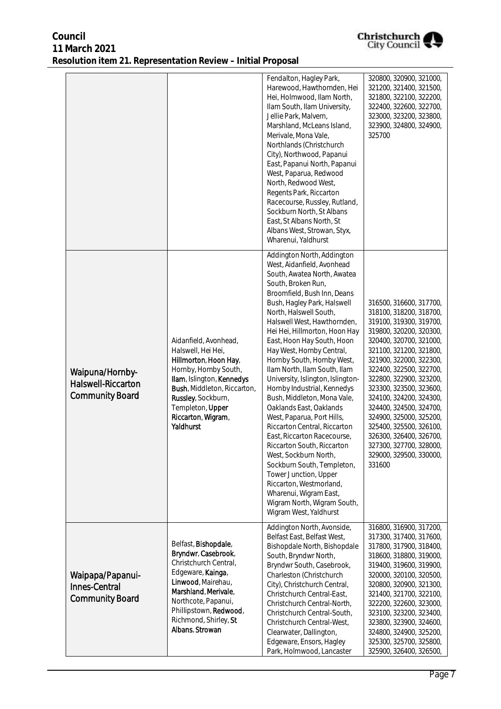| Christchurch<br><b>City Council</b> |
|-------------------------------------|
|                                     |

|                                                                        |                                                                                                                                                                                                                                        | Fendalton, Hagley Park,<br>Harewood, Hawthornden, Hei<br>Hei, Holmwood, Ilam North,<br>Ilam South, Ilam University,<br>Jellie Park, Malvern,<br>Marshland, McLeans Island,<br>Merivale, Mona Vale,<br>Northlands (Christchurch<br>City), Northwood, Papanui<br>East, Papanui North, Papanui<br>West, Paparua, Redwood<br>North, Redwood West,<br>Regents Park, Riccarton<br>Racecourse, Russley, Rutland,<br>Sockburn North, St Albans<br>East, St Albans North, St<br>Albans West, Strowan, Styx,<br>Wharenui, Yaldhurst                                                                                                                                                                                                                                                                                                                             | 320800, 320900, 321000,<br>321200, 321400, 321500,<br>321800, 322100, 322200,<br>322400, 322600, 322700,<br>323000, 323200, 323800,<br>323900, 324800, 324900,<br>325700                                                                                                                                                                                                                                                                                                          |
|------------------------------------------------------------------------|----------------------------------------------------------------------------------------------------------------------------------------------------------------------------------------------------------------------------------------|-------------------------------------------------------------------------------------------------------------------------------------------------------------------------------------------------------------------------------------------------------------------------------------------------------------------------------------------------------------------------------------------------------------------------------------------------------------------------------------------------------------------------------------------------------------------------------------------------------------------------------------------------------------------------------------------------------------------------------------------------------------------------------------------------------------------------------------------------------|-----------------------------------------------------------------------------------------------------------------------------------------------------------------------------------------------------------------------------------------------------------------------------------------------------------------------------------------------------------------------------------------------------------------------------------------------------------------------------------|
| Waipuna/Hornby-<br><b>Halswell-Riccarton</b><br><b>Community Board</b> | Aidanfield, Avonhead,<br>Halswell, Hei Hei,<br>Hillmorton, Hoon Hay,<br>Hornby, Hornby South,<br>Ilam, Islington, Kennedys<br>Bush, Middleton, Riccarton,<br>Russley, Sockburn,<br>Templeton, Upper<br>Riccarton, Wigram,<br>Yaldhurst | Addington North, Addington<br>West, Aidanfield, Avonhead<br>South, Awatea North, Awatea<br>South, Broken Run,<br>Broomfield, Bush Inn, Deans<br>Bush, Hagley Park, Halswell<br>North, Halswell South,<br>Halswell West, Hawthornden,<br>Hei Hei, Hillmorton, Hoon Hay<br>East, Hoon Hay South, Hoon<br>Hay West, Hornby Central,<br>Hornby South, Hornby West,<br>Ilam North, Ilam South, Ilam<br>University, Islington, Islington-<br>Hornby Industrial, Kennedys<br>Bush, Middleton, Mona Vale,<br>Oaklands East, Oaklands<br>West, Paparua, Port Hills,<br>Riccarton Central, Riccarton<br>East, Riccarton Racecourse,<br>Riccarton South, Riccarton<br>West, Sockburn North,<br>Sockburn South, Templeton,<br>Tower Junction, Upper<br>Riccarton, Westmorland,<br>Wharenui, Wigram East,<br>Wigram North, Wigram South,<br>Wigram West, Yaldhurst | 316500, 316600, 317700,<br>318100, 318200, 318700,<br>319100, 319300, 319700,<br>319800, 320200, 320300,<br>320400, 320700, 321000,<br>321100, 321200, 321800,<br>321900, 322000, 322300,<br>322400, 322500, 322700,<br>322800, 322900, 323200,<br>323300, 323500, 323600,<br>324100, 324200, 324300,<br>324400, 324500, 324700,<br>324900, 325000, 325200,<br>325400, 325500, 326100,<br>326300, 326400, 326700,<br>327300, 327700, 328000,<br>329000, 329500, 330000,<br>331600 |
| Waipapa/Papanui-<br><b>Innes-Central</b><br><b>Community Board</b>     | Belfast, Bishopdale,<br>Bryndwr, Casebrook,<br>Christchurch Central,<br>Edgeware, Kainga,<br>Linwood, Mairehau,<br>Marshland, Merivale,<br>Northcote, Papanui,<br>Phillipstown, Redwood,<br>Richmond, Shirley, St<br>Albans, Strowan   | Addington North, Avonside,<br>Belfast East, Belfast West,<br>Bishopdale North, Bishopdale<br>South, Bryndwr North,<br>Bryndwr South, Casebrook,<br>Charleston (Christchurch<br>City), Christchurch Central,<br>Christchurch Central-East,<br>Christchurch Central-North,<br>Christchurch Central-South,<br>Christchurch Central-West,<br>Clearwater, Dallington,<br>Edgeware, Ensors, Hagley<br>Park, Holmwood, Lancaster                                                                                                                                                                                                                                                                                                                                                                                                                             | 316800, 316900, 317200,<br>317300, 317400, 317600,<br>317800, 317900, 318400,<br>318600, 318800, 319000,<br>319400, 319600, 319900,<br>320000, 320100, 320500,<br>320800, 320900, 321300,<br>321400, 321700, 322100,<br>322200, 322600, 323000,<br>323100, 323200, 323400,<br>323800, 323900, 324600,<br>324800, 324900, 325200,<br>325300, 325700, 325800,<br>325900, 326400, 326500,                                                                                            |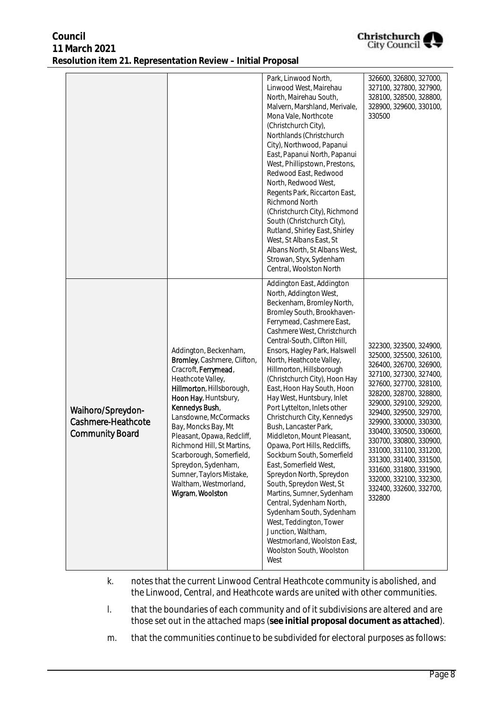|                                                                   |                                                                                                                                                                                                                                                                                                                                                                                                                  | Park, Linwood North,<br>Linwood West, Mairehau<br>North, Mairehau South,<br>Malvern, Marshland, Merivale,<br>Mona Vale, Northcote<br>(Christchurch City),<br>Northlands (Christchurch<br>City), Northwood, Papanui<br>East, Papanui North, Papanui<br>West, Phillipstown, Prestons,<br>Redwood East, Redwood<br>North, Redwood West,<br>Regents Park, Riccarton East,<br>Richmond North<br>(Christchurch City), Richmond<br>South (Christchurch City),<br>Rutland, Shirley East, Shirley<br>West, St Albans East, St<br>Albans North, St Albans West,<br>Strowan, Styx, Sydenham<br>Central, Woolston North<br>Addington East, Addington                                                                                                                                                                                                            | 326600, 326800, 327000,<br>327100, 327800, 327900,<br>328100, 328500, 328800,<br>328900, 329600, 330100,<br>330500                                                                                                                                                                                                                                                                                                                                     |
|-------------------------------------------------------------------|------------------------------------------------------------------------------------------------------------------------------------------------------------------------------------------------------------------------------------------------------------------------------------------------------------------------------------------------------------------------------------------------------------------|-----------------------------------------------------------------------------------------------------------------------------------------------------------------------------------------------------------------------------------------------------------------------------------------------------------------------------------------------------------------------------------------------------------------------------------------------------------------------------------------------------------------------------------------------------------------------------------------------------------------------------------------------------------------------------------------------------------------------------------------------------------------------------------------------------------------------------------------------------|--------------------------------------------------------------------------------------------------------------------------------------------------------------------------------------------------------------------------------------------------------------------------------------------------------------------------------------------------------------------------------------------------------------------------------------------------------|
| Waihoro/Spreydon-<br>Cashmere-Heathcote<br><b>Community Board</b> | Addington, Beckenham,<br>Bromley, Cashmere, Clifton,<br>Cracroft, Ferrymead,<br>Heathcote Valley,<br>Hillmorton, Hillsborough,<br>Hoon Hay, Huntsbury,<br>Kennedys Bush,<br>Lansdowne, McCormacks<br>Bay, Moncks Bay, Mt<br>Pleasant, Opawa, Redcliff,<br>Richmond Hill, St Martins,<br>Scarborough, Somerfield,<br>Spreydon, Sydenham,<br>Sumner, Taylors Mistake,<br>Waltham, Westmorland,<br>Wigram, Woolston | North, Addington West,<br>Beckenham, Bromley North,<br>Bromley South, Brookhaven-<br>Ferrymead, Cashmere East,<br>Cashmere West, Christchurch<br>Central-South, Clifton Hill,<br>Ensors, Hagley Park, Halswell<br>North, Heathcote Valley,<br>Hillmorton, Hillsborough<br>(Christchurch City), Hoon Hay<br>East, Hoon Hay South, Hoon<br>Hay West, Huntsbury, Inlet<br>Port Lyttelton, Inlets other<br>Christchurch City, Kennedys<br>Bush, Lancaster Park,<br>Middleton, Mount Pleasant,<br>Opawa, Port Hills, Redcliffs,<br>Sockburn South, Somerfield<br>East, Somerfield West,<br>Spreydon North, Spreydon<br>South, Spreydon West, St<br>Martins, Sumner, Sydenham<br>Central, Sydenham North,<br>Sydenham South, Sydenham<br>West, Teddington, Tower<br>Junction, Waltham,<br>Westmorland, Woolston East,<br>Woolston South, Woolston<br>West | 322300, 323500, 324900,<br>325000, 325500, 326100,<br>326400, 326700, 326900,<br>327100, 327300, 327400,<br>327600, 327700, 328100,<br>328200, 328700, 328800,<br>329000, 329100, 329200,<br>329400, 329500, 329700,<br>329900, 330000, 330300,<br>330400, 330500, 330600,<br>330700, 330800, 330900,<br>331000, 331100, 331200,<br>331300, 331400, 331500,<br>331600, 331800, 331900,<br>332000, 332100, 332300,<br>332400, 332600, 332700,<br>332800 |

- k. notes that the current Linwood Central Heathcote community is abolished, and the Linwood, Central, and Heathcote wards are united with other communities.
- l. that the boundaries of each community and of it subdivisions are altered and are those set out in the attached maps (**see initial proposal document as attached**).
- m. that the communities continue to be subdivided for electoral purposes as follows: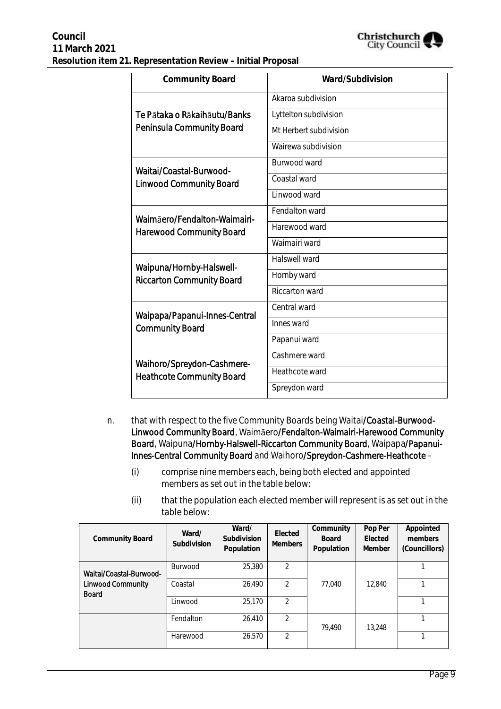

| <b>Community Board</b>           | Ward/Subdivision       |
|----------------------------------|------------------------|
|                                  | Akaroa subdivision     |
| Te Pātaka o Rākaihāutu/Banks     | Lyttelton subdivision  |
| <b>Peninsula Community Board</b> | Mt Herbert subdivision |
|                                  | Wairewa subdivision    |
| Waitai/Coastal-Burwood-          | Burwood ward           |
| <b>Linwood Community Board</b>   | Coastal ward           |
|                                  | Linwood ward           |
| Waimāero/Fendalton-Waimairi-     | Fendalton ward         |
| <b>Harewood Community Board</b>  | Harewood ward          |
|                                  | Waimairi ward          |
| Waipuna/Hornby-Halswell-         | Halswell ward          |
| <b>Riccarton Community Board</b> | Hornby ward            |
|                                  | <b>Riccarton ward</b>  |
| Waipapa/Papanui-Innes-Central    | Central ward           |
| <b>Community Board</b>           | Innes ward             |
|                                  | Papanui ward           |
| Waihoro/Spreydon-Cashmere-       | Cashmere ward          |
| <b>Heathcote Community Board</b> | Heathcote ward         |
|                                  | Spreydon ward          |

- n. that with respect to the five Community Boards being Waitai/Coastal-Burwood-Linwood Community Board, Waimāero/Fendalton-Waimairi-Harewood Community Board, Waipuna/Hornby-Halswell-Riccarton Community Board, Waipapa/Papanui-Innes-Central Community Board and Waihoro/Spreydon-Cashmere-Heathcote –
	- (i) comprise nine members each, being both elected and appointed members as set out in the table below:
	- (ii) that the population each elected member will represent is as set out in the table below:

| Community Board                          | Ward/<br>Subdivision | Ward/<br>Subdivision<br>Population | Elected<br><b>Members</b> | Community<br><b>Board</b><br>Population | Pop Per<br>Elected<br>Member | Appointed<br>members<br>(Councillors) |
|------------------------------------------|----------------------|------------------------------------|---------------------------|-----------------------------------------|------------------------------|---------------------------------------|
| Waitai/Coastal-Burwood-                  | <b>Burwood</b>       | 25,380                             | $\mathcal{P}$             |                                         |                              |                                       |
| <b>Linwood Community</b><br><b>Board</b> | Coastal              | 26.490                             | $\mathfrak{D}$            | 77.040                                  | 12,840                       |                                       |
|                                          | Linwood              | 25,170                             | $\mathfrak{D}$            |                                         |                              |                                       |
|                                          | Fendalton            | 26,410                             | $\mathcal{P}$             | 79.490                                  | 13,248                       |                                       |
|                                          | Harewood             | 26,570                             | 2                         |                                         |                              |                                       |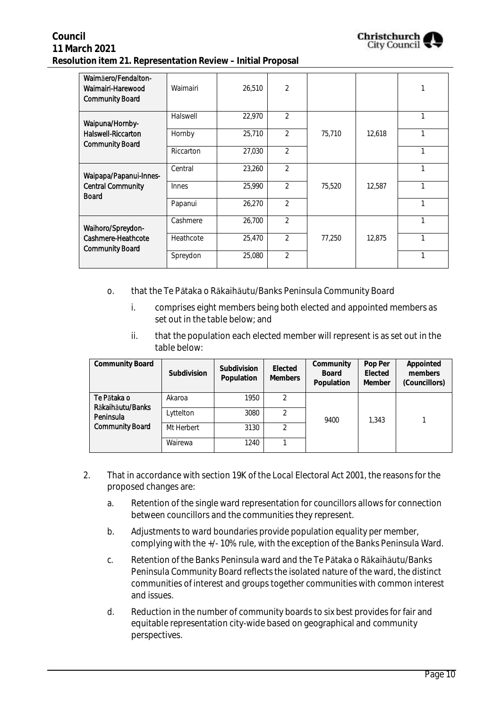

| Waimäero/Fendalton-<br>Waimairi-Harewood<br><b>Community Board</b>     | Waimairi  | 26,510 | $\overline{2}$ |        |        |   |
|------------------------------------------------------------------------|-----------|--------|----------------|--------|--------|---|
| Waipuna/Hornby-<br><b>Halswell-Riccarton</b><br><b>Community Board</b> | Halswell  | 22,970 | $\overline{2}$ |        |        | 1 |
|                                                                        | Hornby    | 25,710 | $\overline{2}$ | 75,710 | 12,618 |   |
|                                                                        | Riccarton | 27,030 | $\overline{2}$ |        |        | 1 |
| Waipapa/Papanui-Innes-<br><b>Central Community</b><br><b>Board</b>     | Central   | 23,260 | $\overline{2}$ |        |        | 1 |
|                                                                        | Innes     | 25,990 | 2              | 75,520 | 12,587 | 1 |
|                                                                        | Papanui   | 26,270 | $\overline{2}$ |        |        | 1 |
| Waihoro/Spreydon-<br>Cashmere-Heathcote<br><b>Community Board</b>      | Cashmere  | 26,700 | $\overline{2}$ |        |        | 1 |
|                                                                        | Heathcote | 25,470 | $\overline{2}$ | 77,250 | 12,875 |   |
|                                                                        | Spreydon  | 25,080 | $\mathfrak{D}$ |        |        | 1 |

#### o. that the Te Pātaka o Rākaihāutu/Banks Peninsula Community Board

- i. comprises eight members being both elected and appointed members as set out in the table below; and
- ii. that the population each elected member will represent is as set out in the table below:

| <b>Community Board</b>                                                 | Subdivision | Subdivision<br>Population | Elected<br><b>Members</b> | Community<br><b>Board</b><br>Population | Pop Per<br>Elected<br>Member | Appointed<br>members<br>(Councillors) |
|------------------------------------------------------------------------|-------------|---------------------------|---------------------------|-----------------------------------------|------------------------------|---------------------------------------|
| Te Pātaka o<br>Rākaihāutu/Banks<br>Peninsula<br><b>Community Board</b> | Akaroa      | 1950                      | 2                         | 9400                                    | 1.343                        |                                       |
|                                                                        | Lyttelton   | 3080                      | 2                         |                                         |                              |                                       |
|                                                                        | Mt Herbert  | 3130                      | 2                         |                                         |                              |                                       |
|                                                                        | Wairewa     | 1240                      |                           |                                         |                              |                                       |

- 2. That in accordance with section 19K of the Local Electoral Act 2001, the reasons for the proposed changes are:
	- a. Retention of the single ward representation for councillors allows for connection between councillors and the communities they represent.
	- b. Adjustments to ward boundaries provide population equality per member, complying with the +/- 10% rule, with the exception of the Banks Peninsula Ward.
	- c. Retention of the Banks Peninsula ward and the Te Pātaka o Rākaihāutu/Banks Peninsula Community Board reflects the isolated nature of the ward, the distinct communities of interest and groups together communities with common interest and issues.
	- d. Reduction in the number of community boards to six best provides for fair and equitable representation city-wide based on geographical and community perspectives.